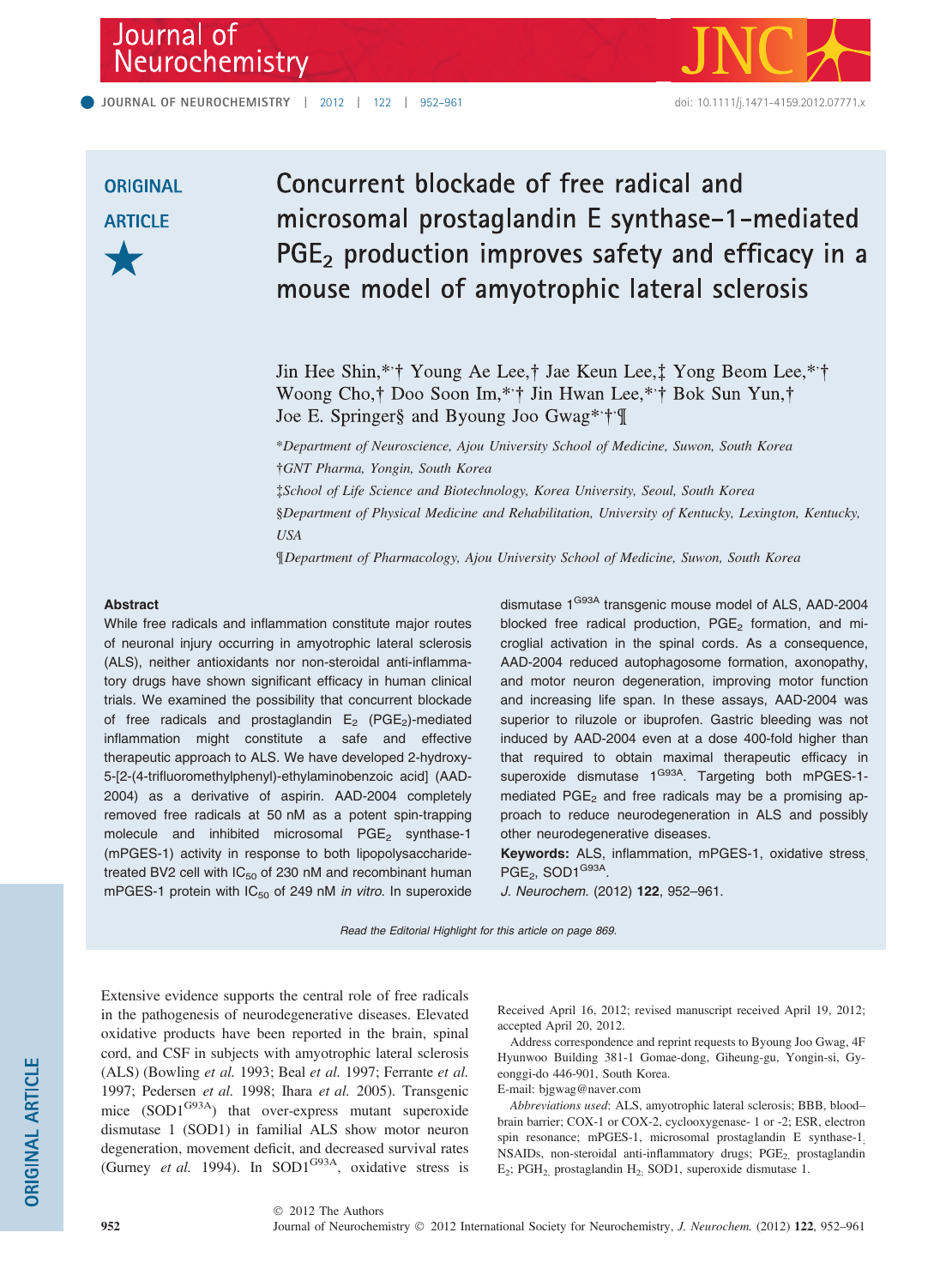# Journal of<br>Neurochemistry



# **ORIGINAL ARTICLE**

# Concurrent blockade of free radical and microsomal prostaglandin E synthase-1-mediated PGE<sub>2</sub> production improves safety and efficacy in a mouse model of amyotrophic lateral sclerosis

Jin Hee Shin,\*\*† Young Ae Lee,† Jae Keun Lee, $\ddagger$  Yong Beom Lee,\*\*† Woong Cho,† Doo Soon Im,\*·† Jin Hwan Lee,\*·† Bok Sun Yun,† Joe E. Springer§ and Byoung Joo Gwag\*\*†\*¶

\*Department of Neuroscience, Ajou University School of Medicine, Suwon, South Korea -GNT Pharma, Yongin, South Korea School of Life Science and Biotechnology, Korea University, Seoul, South Korea §Department of Physical Medicine and Rehabilitation, University of Kentucky, Lexington, Kentucky, USA

¶Department of Pharmacology, Ajou University School of Medicine, Suwon, South Korea

#### Abstract

While free radicals and inflammation constitute major routes of neuronal injury occurring in amyotrophic lateral sclerosis (ALS), neither antioxidants nor non-steroidal anti-inflammatory drugs have shown significant efficacy in human clinical trials. We examined the possibility that concurrent blockade of free radicals and prostaglandin  $E_2$  (PGE<sub>2</sub>)-mediated inflammation might constitute a safe and effective therapeutic approach to ALS. We have developed 2-hydroxy-5-[2-(4-trifluoromethylphenyl)-ethylaminobenzoic acid] (AAD-2004) as a derivative of aspirin. AAD-2004 completely removed free radicals at 50 nM as a potent spin-trapping molecule and inhibited microsomal  $PGE<sub>2</sub>$  synthase-1 (mPGES-1) activity in response to both lipopolysaccharidetreated BV2 cell with  $IC_{50}$  of 230 nM and recombinant human mPGES-1 protein with  $IC_{50}$  of 249 nM in vitro. In superoxide

dismutase 1<sup>G93A</sup> transgenic mouse model of ALS, AAD-2004 blocked free radical production,  $PGE<sub>2</sub>$  formation, and microglial activation in the spinal cords. As a consequence, AAD-2004 reduced autophagosome formation, axonopathy, and motor neuron degeneration, improving motor function and increasing life span. In these assays, AAD-2004 was superior to riluzole or ibuprofen. Gastric bleeding was not induced by AAD-2004 even at a dose 400-fold higher than that required to obtain maximal therapeutic efficacy in superoxide dismutase 1<sup>G93A</sup>. Targeting both mPGES-1mediated  $PGE<sub>2</sub>$  and free radicals may be a promising approach to reduce neurodegeneration in ALS and possibly other neurodegenerative diseases.

Keywords: ALS, inflammation, mPGES-1, oxidative stress  $PGE_2$ , SOD1 $G93A$ .

J. Neurochem. (2012) 122, 952–961.

Read the Editorial Highlight for this article on page 869.

Extensive evidence supports the central role of free radicals in the pathogenesis of neurodegenerative diseases. Elevated oxidative products have been reported in the brain, spinal cord, and CSF in subjects with amyotrophic lateral sclerosis (ALS) (Bowling et al. 1993; Beal et al. 1997; Ferrante et al. 1997; Pedersen et al. 1998; Ihara et al. 2005). Transgenic mice  $(SOD1^{G93A})$  that over-express mutant superoxide dismutase 1 (SOD1) in familial ALS show motor neuron degeneration, movement deficit, and decreased survival rates (Gurney et al. 1994). In SOD1 $G<sup>93A</sup>$ , oxidative stress is

Received April 16, 2012; revised manuscript received April 19, 2012; accepted April 20, 2012.

Address correspondence and reprint requests to Byoung Joo Gwag, 4F Hyunwoo Building 381-1 Gomae-dong, Giheung-gu, Yongin-si, Gyeonggi-do 446-901, South Korea.

E-mail: bjgwag@naver.com

Abbreviations used: ALS, amyotrophic lateral sclerosis; BBB, blood– brain barrier; COX-1 or COX-2, cyclooxygenase- 1 or -2; ESR, electron spin resonance; mPGES-1, microsomal prostaglandin E synthase-1; NSAIDs, non-steroidal anti-inflammatory drugs; PGE<sub>2,</sub> prostaglandin E2; PGH2, prostaglandin H2; SOD1, superoxide dismutase 1.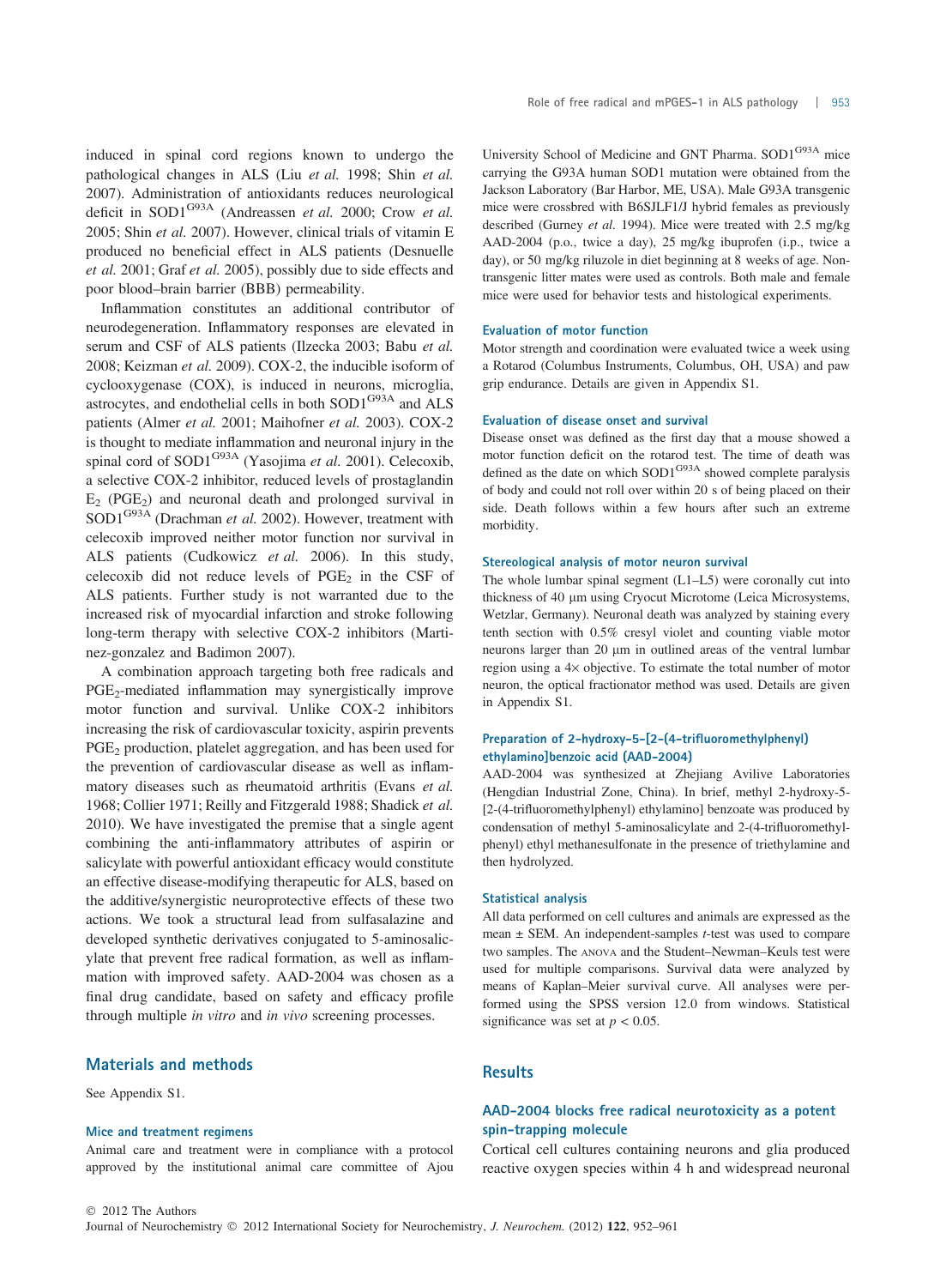induced in spinal cord regions known to undergo the pathological changes in ALS (Liu et al. 1998; Shin et al. 2007). Administration of antioxidants reduces neurological deficit in SOD1 $G93A$  (Andreassen et al. 2000; Crow et al. 2005; Shin et al. 2007). However, clinical trials of vitamin E produced no beneficial effect in ALS patients (Desnuelle et al. 2001; Graf et al. 2005), possibly due to side effects and poor blood–brain barrier (BBB) permeability.

Inflammation constitutes an additional contributor of neurodegeneration. Inflammatory responses are elevated in serum and CSF of ALS patients (Ilzecka 2003; Babu et al. 2008; Keizman et al. 2009). COX-2, the inducible isoform of cyclooxygenase (COX), is induced in neurons, microglia, astrocytes, and endothelial cells in both SOD1<sup>G93A</sup> and ALS patients (Almer et al. 2001; Maihofner et al. 2003). COX-2 is thought to mediate inflammation and neuronal injury in the spinal cord of SOD1<sup>G93A</sup> (Yasojima et al. 2001). Celecoxib, a selective COX-2 inhibitor, reduced levels of prostaglandin  $E_2$  (PGE<sub>2</sub>) and neuronal death and prolonged survival in SOD1<sup>G93A</sup> (Drachman et al. 2002). However, treatment with celecoxib improved neither motor function nor survival in ALS patients (Cudkowicz et al. 2006). In this study, celecoxib did not reduce levels of  $PGE<sub>2</sub>$  in the CSF of ALS patients. Further study is not warranted due to the increased risk of myocardial infarction and stroke following long-term therapy with selective COX-2 inhibitors (Martinez-gonzalez and Badimon 2007).

A combination approach targeting both free radicals and  $PGE<sub>2</sub>$ -mediated inflammation may synergistically improve motor function and survival. Unlike COX-2 inhibitors increasing the risk of cardiovascular toxicity, aspirin prevents PGE<sub>2</sub> production, platelet aggregation, and has been used for the prevention of cardiovascular disease as well as inflammatory diseases such as rheumatoid arthritis (Evans et al. 1968; Collier 1971; Reilly and Fitzgerald 1988; Shadick et al. 2010). We have investigated the premise that a single agent combining the anti-inflammatory attributes of aspirin or salicylate with powerful antioxidant efficacy would constitute an effective disease-modifying therapeutic for ALS, based on the additive/synergistic neuroprotective effects of these two actions. We took a structural lead from sulfasalazine and developed synthetic derivatives conjugated to 5-aminosalicylate that prevent free radical formation, as well as inflammation with improved safety. AAD-2004 was chosen as a final drug candidate, based on safety and efficacy profile through multiple in vitro and in vivo screening processes.

#### Materials and methods

See Appendix S1.

#### Mice and treatment regimens

Animal care and treatment were in compliance with a protocol approved by the institutional animal care committee of Ajou University School of Medicine and GNT Pharma. SOD1G93A mice carrying the G93A human SOD1 mutation were obtained from the Jackson Laboratory (Bar Harbor, ME, USA). Male G93A transgenic mice were crossbred with B6SJLF1/J hybrid females as previously described (Gurney et al. 1994). Mice were treated with 2.5 mg/kg AAD-2004 (p.o., twice a day), 25 mg/kg ibuprofen (i.p., twice a day), or 50 mg/kg riluzole in diet beginning at 8 weeks of age. Nontransgenic litter mates were used as controls. Both male and female mice were used for behavior tests and histological experiments.

#### Evaluation of motor function

Motor strength and coordination were evaluated twice a week using a Rotarod (Columbus Instruments, Columbus, OH, USA) and paw grip endurance. Details are given in Appendix S1.

#### Evaluation of disease onset and survival

Disease onset was defined as the first day that a mouse showed a motor function deficit on the rotarod test. The time of death was defined as the date on which  $SOD1^{G93A}$  showed complete paralysis of body and could not roll over within 20 s of being placed on their side. Death follows within a few hours after such an extreme morbidity.

#### Stereological analysis of motor neuron survival

The whole lumbar spinal segment (L1–L5) were coronally cut into thickness of 40 µm using Cryocut Microtome (Leica Microsystems, Wetzlar, Germany). Neuronal death was analyzed by staining every tenth section with 0.5% cresyl violet and counting viable motor neurons larger than 20  $\mu$ m in outlined areas of the ventral lumbar region using a 4× objective. To estimate the total number of motor neuron, the optical fractionator method was used. Details are given in Appendix S1.

#### Preparation of 2-hydroxy-5-[2-(4-trifluoromethylphenyl) ethylamino]benzoic acid (AAD-2004)

AAD-2004 was synthesized at Zhejiang Avilive Laboratories (Hengdian Industrial Zone, China). In brief, methyl 2-hydroxy-5- [2-(4-trifluoromethylphenyl) ethylamino] benzoate was produced by condensation of methyl 5-aminosalicylate and 2-(4-trifluoromethylphenyl) ethyl methanesulfonate in the presence of triethylamine and then hydrolyzed.

#### Statistical analysis

All data performed on cell cultures and animals are expressed as the mean  $\pm$  SEM. An independent-samples *t*-test was used to compare two samples. The ANOVA and the Student–Newman–Keuls test were used for multiple comparisons. Survival data were analyzed by means of Kaplan–Meier survival curve. All analyses were performed using the SPSS version 12.0 from windows. Statistical significance was set at  $p < 0.05$ .

### **Results**

# AAD-2004 blocks free radical neurotoxicity as a potent spin-trapping molecule

Cortical cell cultures containing neurons and glia produced reactive oxygen species within 4 h and widespread neuronal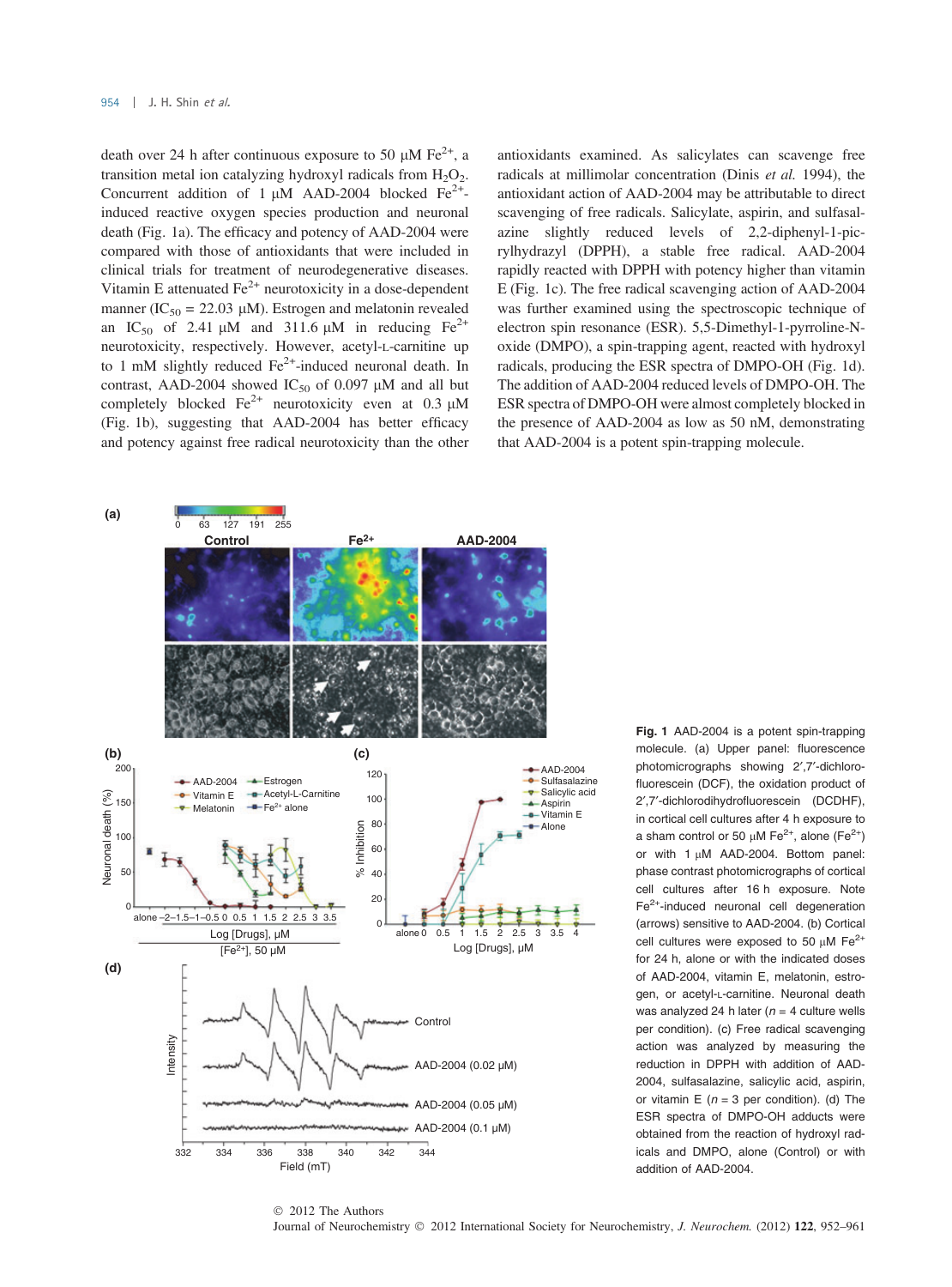death over 24 h after continuous exposure to 50  $\mu$ M Fe<sup>2+</sup>, a transition metal ion catalyzing hydroxyl radicals from  $H_2O_2$ . Concurrent addition of 1  $\mu$ M AAD-2004 blocked Fe<sup>2+</sup>induced reactive oxygen species production and neuronal death (Fig. 1a). The efficacy and potency of AAD-2004 were compared with those of antioxidants that were included in clinical trials for treatment of neurodegenerative diseases. Vitamin E attenuated  $Fe<sup>2+</sup>$  neurotoxicity in a dose-dependent manner (IC<sub>50</sub> = 22.03 µM). Estrogen and melatonin revealed an IC<sub>50</sub> of 2.41  $\mu$ M and 311.6  $\mu$ M in reducing Fe<sup>2+</sup> neurotoxicity, respectively. However, acetyl-L-carnitine up to 1 mM slightly reduced  $Fe<sup>2+</sup>$ -induced neuronal death. In contrast, AAD-2004 showed  $IC_{50}$  of 0.097  $\mu$ M and all but completely blocked  $\text{Fe}^{2+}$  neurotoxicity even at 0.3  $\mu$ M (Fig. 1b), suggesting that AAD-2004 has better efficacy and potency against free radical neurotoxicity than the other antioxidants examined. As salicylates can scavenge free radicals at millimolar concentration (Dinis et al. 1994), the antioxidant action of AAD-2004 may be attributable to direct scavenging of free radicals. Salicylate, aspirin, and sulfasalazine slightly reduced levels of 2,2-diphenyl-1-picrylhydrazyl (DPPH), a stable free radical. AAD-2004 rapidly reacted with DPPH with potency higher than vitamin E (Fig. 1c). The free radical scavenging action of AAD-2004 was further examined using the spectroscopic technique of electron spin resonance (ESR). 5,5-Dimethyl-1-pyrroline-Noxide (DMPO), a spin-trapping agent, reacted with hydroxyl radicals, producing the ESR spectra of DMPO-OH (Fig. 1d). The addition of AAD-2004 reduced levels of DMPO-OH. The ESR spectra of DMPO-OH were almost completely blocked in the presence of AAD-2004 as low as 50 nM, demonstrating that AAD-2004 is a potent spin-trapping molecule.



Fig. 1 AAD-2004 is a potent spin-trapping molecule. (a) Upper panel: fluorescence photomicrographs showing 2',7'-dichlorofluorescein (DCF), the oxidation product of 2¢,7¢-dichlorodihydrofluorescein (DCDHF), in cortical cell cultures after 4 h exposure to a sham control or 50  $\mu$ M Fe<sup>2+</sup>, alone (Fe<sup>2+</sup>) or with  $1 \mu M$  AAD-2004. Bottom panel: phase contrast photomicrographs of cortical cell cultures after 16 h exposure. Note Fe2+-induced neuronal cell degeneration (arrows) sensitive to AAD-2004. (b) Cortical cell cultures were exposed to 50  $\mu$ M Fe<sup>2+</sup> for 24 h, alone or with the indicated doses of AAD-2004, vitamin E, melatonin, estrogen, or acetyl-L-carnitine. Neuronal death was analyzed 24 h later ( $n = 4$  culture wells per condition). (c) Free radical scavenging action was analyzed by measuring the reduction in DPPH with addition of AAD-2004, sulfasalazine, salicylic acid, aspirin, or vitamin E ( $n = 3$  per condition). (d) The ESR spectra of DMPO-OH adducts were obtained from the reaction of hydroxyl radicals and DMPO, alone (Control) or with addition of AAD-2004.

Journal of Neurochemistry © 2012 International Society for Neurochemistry, *J. Neurochem.* (2012) 122, 952–961 © 2012 The Authors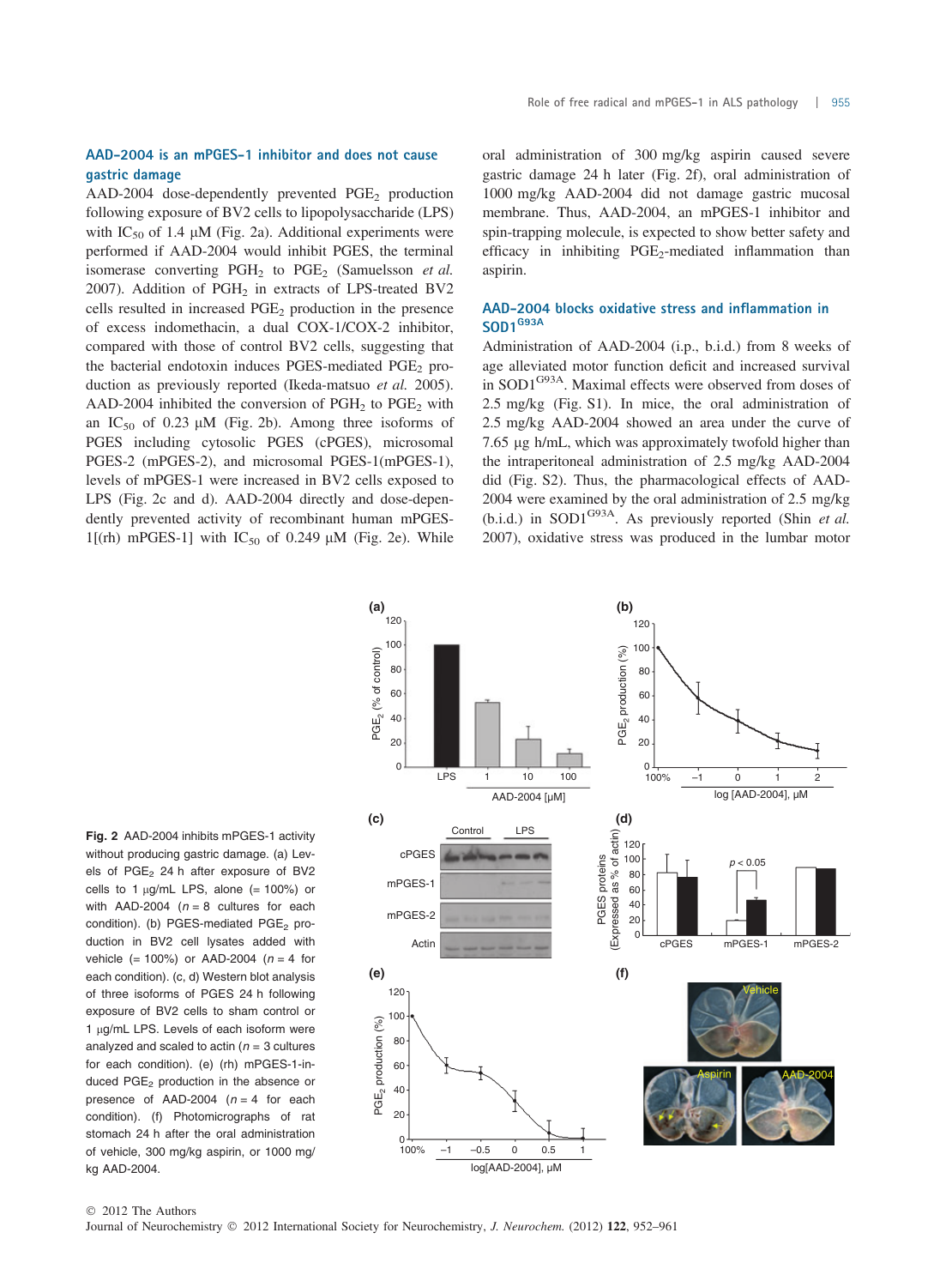### AAD-2004 is an mPGES-1 inhibitor and does not cause gastric damage

AAD-2004 dose-dependently prevented  $PGE<sub>2</sub>$  production following exposure of BV2 cells to lipopolysaccharide (LPS) with IC<sub>50</sub> of 1.4  $\mu$ M (Fig. 2a). Additional experiments were performed if AAD-2004 would inhibit PGES, the terminal isomerase converting  $PGH<sub>2</sub>$  to  $PGE<sub>2</sub>$  (Samuelsson *et al.*) 2007). Addition of  $PGH<sub>2</sub>$  in extracts of LPS-treated BV2 cells resulted in increased  $PGE<sub>2</sub>$  production in the presence of excess indomethacin, a dual COX-1/COX-2 inhibitor, compared with those of control BV2 cells, suggesting that the bacterial endotoxin induces PGES-mediated  $PGE<sub>2</sub>$  production as previously reported (Ikeda-matsuo et al. 2005). AAD-2004 inhibited the conversion of  $PGH<sub>2</sub>$  to  $PGE<sub>2</sub>$  with an  $IC_{50}$  of 0.23  $\mu$ M (Fig. 2b). Among three isoforms of PGES including cytosolic PGES (cPGES), microsomal PGES-2 (mPGES-2), and microsomal PGES-1(mPGES-1), levels of mPGES-1 were increased in BV2 cells exposed to LPS (Fig. 2c and d). AAD-2004 directly and dose-dependently prevented activity of recombinant human mPGES-1[(rh) mPGES-1] with  $IC_{50}$  of 0.249  $\mu$ M (Fig. 2e). While oral administration of 300 mg/kg aspirin caused severe gastric damage 24 h later (Fig. 2f), oral administration of 1000 mg/kg AAD-2004 did not damage gastric mucosal membrane. Thus, AAD-2004, an mPGES-1 inhibitor and spin-trapping molecule, is expected to show better safety and efficacy in inhibiting  $PGE_2$ -mediated inflammation than aspirin.

#### AAD-2004 blocks oxidative stress and inflammation in SOD1<sup>G93A</sup>

Administration of AAD-2004 (i.p., b.i.d.) from 8 weeks of age alleviated motor function deficit and increased survival in SOD1G93A. Maximal effects were observed from doses of 2.5 mg/kg (Fig. S1). In mice, the oral administration of 2.5 mg/kg AAD-2004 showed an area under the curve of 7.65 µg h/mL, which was approximately twofold higher than the intraperitoneal administration of 2.5 mg/kg AAD-2004 did (Fig. S2). Thus, the pharmacological effects of AAD-2004 were examined by the oral administration of 2.5 mg/kg (b.i.d.) in SOD1<sup>G93A</sup>. As previously reported (Shin *et al.*) 2007), oxidative stress was produced in the lumbar motor



Fig. 2 AAD-2004 inhibits mPGES-1 activity without producing gastric damage. (a) Levels of PGE<sub>2</sub> 24 h after exposure of BV2 cells to 1  $\mu$ g/mL LPS, alone (= 100%) or with AAD-2004 ( $n = 8$  cultures for each condition). (b) PGES-mediated  $PGE<sub>2</sub>$  production in BV2 cell lysates added with vehicle (= 100%) or AAD-2004 ( $n = 4$  for each condition). (c, d) Western blot analysis of three isoforms of PGES 24 h following exposure of BV2 cells to sham control or  $1 \mu q/mL$  LPS. Levels of each isoform were analyzed and scaled to actin ( $n = 3$  cultures for each condition). (e) (rh) mPGES-1-induced PGE<sub>2</sub> production in the absence or presence of AAD-2004 ( $n = 4$  for each condition). (f) Photomicrographs of rat stomach 24 h after the oral administration of vehicle, 300 mg/kg aspirin, or 1000 mg/ kg AAD-2004.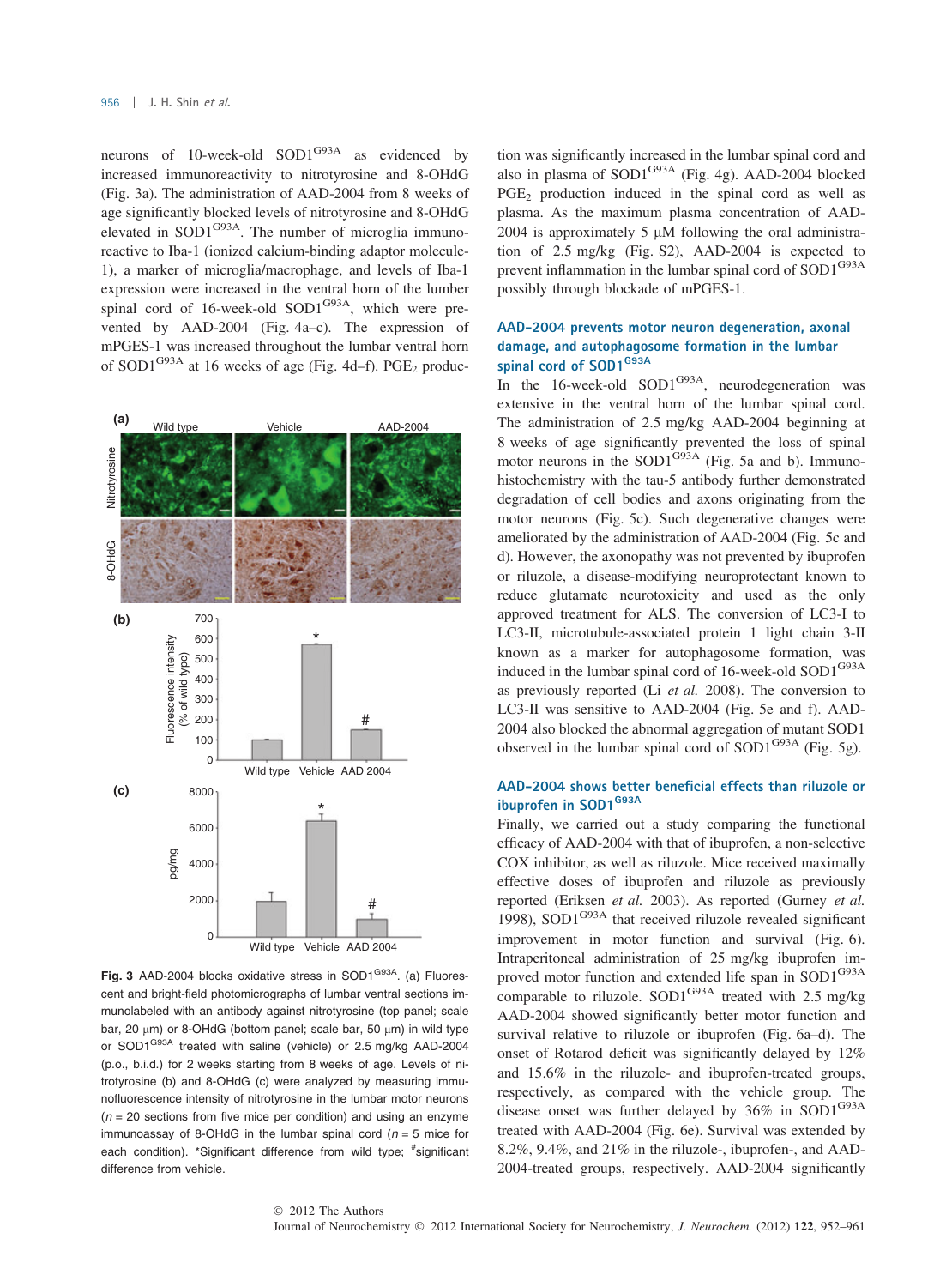neurons of 10-week-old  $SOD1^{G93A}$  as evidenced by increased immunoreactivity to nitrotyrosine and 8-OHdG (Fig. 3a). The administration of AAD-2004 from 8 weeks of age significantly blocked levels of nitrotyrosine and 8-OHdG elevated in  $SOD1^{G93A}$ . The number of microglia immunoreactive to Iba-1 (ionized calcium-binding adaptor molecule-1), a marker of microglia/macrophage, and levels of Iba-1 expression were increased in the ventral horn of the lumber spinal cord of 16-week-old SOD1<sup>G93A</sup>, which were prevented by AAD-2004 (Fig. 4a–c). The expression of mPGES-1 was increased throughout the lumbar ventral horn of SOD1<sup>G93A</sup> at 16 weeks of age (Fig. 4d–f). PGE<sub>2</sub> produc-



Fig. 3 AAD-2004 blocks oxidative stress in SOD1<sup>G93A</sup>. (a) Fluorescent and bright-field photomicrographs of lumbar ventral sections immunolabeled with an antibody against nitrotyrosine (top panel; scale bar, 20  $\mu$ m) or 8-OHdG (bottom panel; scale bar, 50  $\mu$ m) in wild type or SOD1<sup>G93A</sup> treated with saline (vehicle) or 2.5 mg/kg AAD-2004 (p.o., b.i.d.) for 2 weeks starting from 8 weeks of age. Levels of nitrotyrosine (b) and 8-OHdG (c) were analyzed by measuring immunofluorescence intensity of nitrotyrosine in the lumbar motor neurons  $(n = 20$  sections from five mice per condition) and using an enzyme immunoassay of 8-OHdG in the lumbar spinal cord ( $n = 5$  mice for each condition). \*Significant difference from wild type; #significant difference from vehicle.

tion was significantly increased in the lumbar spinal cord and also in plasma of  $SOD1^{G93A}$  (Fig. 4g). AAD-2004 blocked  $PGE<sub>2</sub>$  production induced in the spinal cord as well as plasma. As the maximum plasma concentration of AAD-2004 is approximately  $5 \mu M$  following the oral administration of 2.5 mg/kg (Fig. S2), AAD-2004 is expected to prevent inflammation in the lumbar spinal cord of SOD1<sup>G93A</sup> possibly through blockade of mPGES-1.

# AAD-2004 prevents motor neuron degeneration, axonal damage, and autophagosome formation in the lumbar spinal cord of SOD1<sup>G93A</sup>

In the 16-week-old SOD1 $G<sup>93A</sup>$ , neurodegeneration was extensive in the ventral horn of the lumbar spinal cord. The administration of 2.5 mg/kg AAD-2004 beginning at 8 weeks of age significantly prevented the loss of spinal motor neurons in the SOD1 $G^{93A}$  (Fig. 5a and b). Immunohistochemistry with the tau-5 antibody further demonstrated degradation of cell bodies and axons originating from the motor neurons (Fig. 5c). Such degenerative changes were ameliorated by the administration of AAD-2004 (Fig. 5c and d). However, the axonopathy was not prevented by ibuprofen or riluzole, a disease-modifying neuroprotectant known to reduce glutamate neurotoxicity and used as the only approved treatment for ALS. The conversion of LC3-I to LC3-II, microtubule-associated protein 1 light chain 3-II known as a marker for autophagosome formation, was induced in the lumbar spinal cord of 16-week-old SOD1<sup>G93A</sup> as previously reported (Li et al. 2008). The conversion to LC3-II was sensitive to AAD-2004 (Fig. 5e and f). AAD-2004 also blocked the abnormal aggregation of mutant SOD1 observed in the lumbar spinal cord of  $SOD1^{G93A}$  (Fig. 5g).

# AAD-2004 shows better beneficial effects than riluzole or ibuprofen in SOD1<sup>G93A</sup>

Finally, we carried out a study comparing the functional efficacy of AAD-2004 with that of ibuprofen, a non-selective COX inhibitor, as well as riluzole. Mice received maximally effective doses of ibuprofen and riluzole as previously reported (Eriksen et al. 2003). As reported (Gurney et al. 1998), SOD1<sup>G93A</sup> that received riluzole revealed significant improvement in motor function and survival (Fig. 6). Intraperitoneal administration of 25 mg/kg ibuprofen improved motor function and extended life span in SOD1<sup>G93A</sup> comparable to riluzole.  $SOD1^{G93A}$  treated with 2.5 mg/kg AAD-2004 showed significantly better motor function and survival relative to riluzole or ibuprofen (Fig. 6a–d). The onset of Rotarod deficit was significantly delayed by 12% and 15.6% in the riluzole- and ibuprofen-treated groups, respectively, as compared with the vehicle group. The disease onset was further delayed by  $36\%$  in SOD1<sup>G93A</sup> treated with AAD-2004 (Fig. 6e). Survival was extended by 8.2%, 9.4%, and 21% in the riluzole-, ibuprofen-, and AAD-2004-treated groups, respectively. AAD-2004 significantly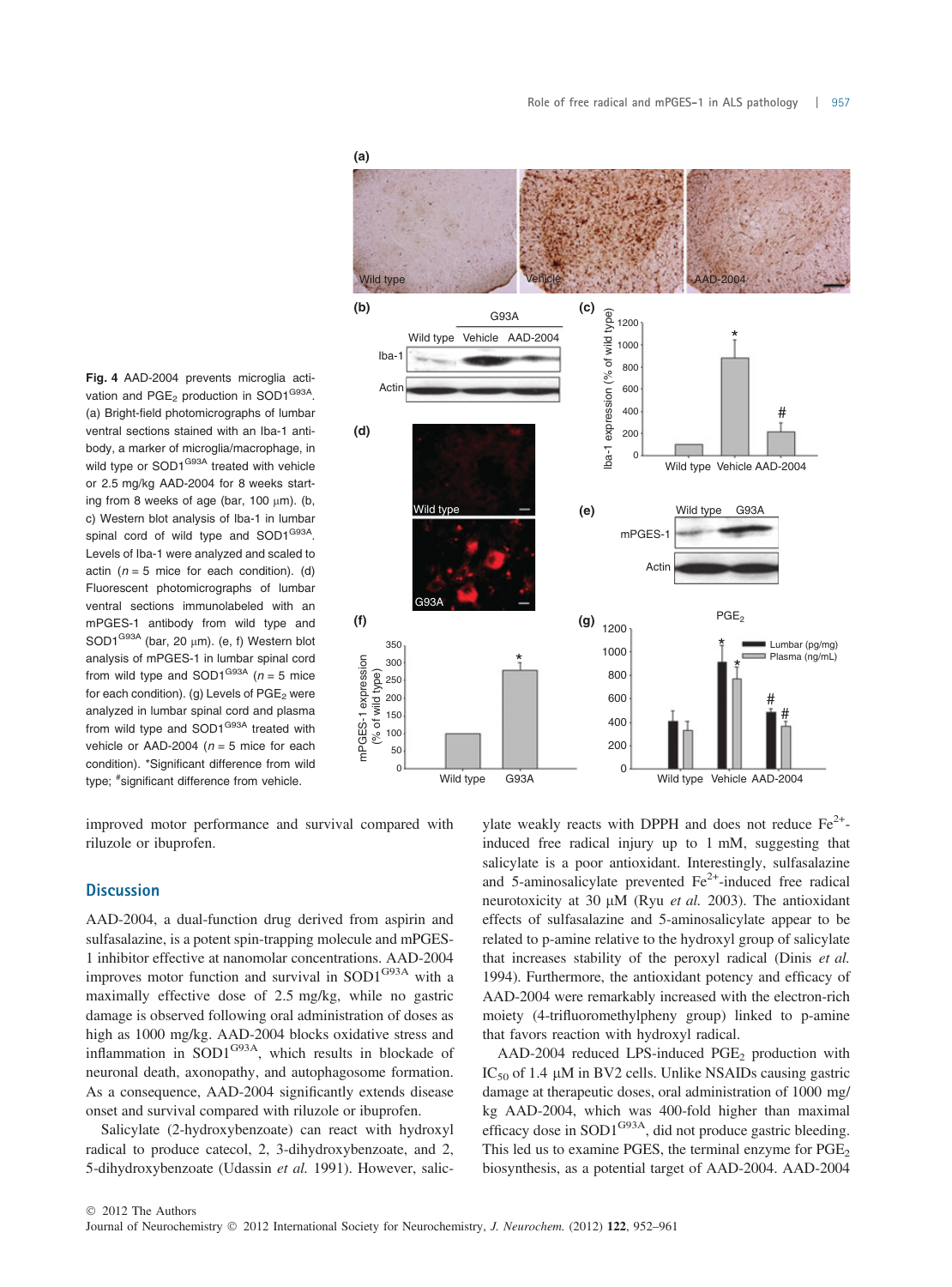

**(a)** Wild type  $AD - 2004$ Vehicle **(c) (b)** G93A **(c)**  $\frac{1}{2}$  1200 lba-1 expression (% of wild type) expression (% of wild t \* Wild type Vehicle AAD-2004 1000 Iba-1  $800$ Acti 600 400 # **(d)** 200  $\mathsf{I}$ -adl 0 Wild type Vehicle AAD-2004 Wild type **(e)** Wild type G93A mPGES-**Actir** G93A PGE<sub>2</sub> (g)  $_{1200}$ **(f) (g)** 350  $\frac{1}{1}$   $\frac{1000}{1}$ Lumbar (pg/mg) 1000 Plasma (ng/mL) mPGES-1 expression mPGES-1 expression 300 \* (% of wild type) 800 (% of wild type) 250  $\frac{1}{200}$ 600 # 150 # 400 100 200 50  $\overline{0}$  $\Omega$ Wild type Vehicle AAD-2004 Wild type G93A

improved motor performance and survival compared with riluzole or ibuprofen.

## **Discussion**

AAD-2004, a dual-function drug derived from aspirin and sulfasalazine, is a potent spin-trapping molecule and mPGES-1 inhibitor effective at nanomolar concentrations. AAD-2004 improves motor function and survival in SOD1<sup>G93A</sup> with a maximally effective dose of 2.5 mg/kg, while no gastric damage is observed following oral administration of doses as high as 1000 mg/kg. AAD-2004 blocks oxidative stress and inflammation in SOD1G93A, which results in blockade of neuronal death, axonopathy, and autophagosome formation. As a consequence, AAD-2004 significantly extends disease onset and survival compared with riluzole or ibuprofen.

Salicylate (2-hydroxybenzoate) can react with hydroxyl radical to produce catecol, 2, 3-dihydroxybenzoate, and 2, 5-dihydroxybenzoate (Udassin et al. 1991). However, salicylate weakly reacts with DPPH and does not reduce  $Fe^{2+}$ induced free radical injury up to 1 mM, suggesting that salicylate is a poor antioxidant. Interestingly, sulfasalazine and 5-aminosalicylate prevented  $Fe<sup>2+</sup>$ -induced free radical neurotoxicity at 30  $\mu$ M (Ryu *et al.* 2003). The antioxidant effects of sulfasalazine and 5-aminosalicylate appear to be related to p-amine relative to the hydroxyl group of salicylate that increases stability of the peroxyl radical (Dinis et al. 1994). Furthermore, the antioxidant potency and efficacy of AAD-2004 were remarkably increased with the electron-rich moiety (4-trifluoromethylpheny group) linked to p-amine that favors reaction with hydroxyl radical.

AAD-2004 reduced LPS-induced PGE<sub>2</sub> production with  $IC_{50}$  of 1.4  $\mu$ M in BV2 cells. Unlike NSAIDs causing gastric damage at therapeutic doses, oral administration of 1000 mg/ kg AAD-2004, which was 400-fold higher than maximal efficacy dose in  $SOD1^{G93A}$ , did not produce gastric bleeding. This led us to examine PGES, the terminal enzyme for  $PGE<sub>2</sub>$ biosynthesis, as a potential target of AAD-2004. AAD-2004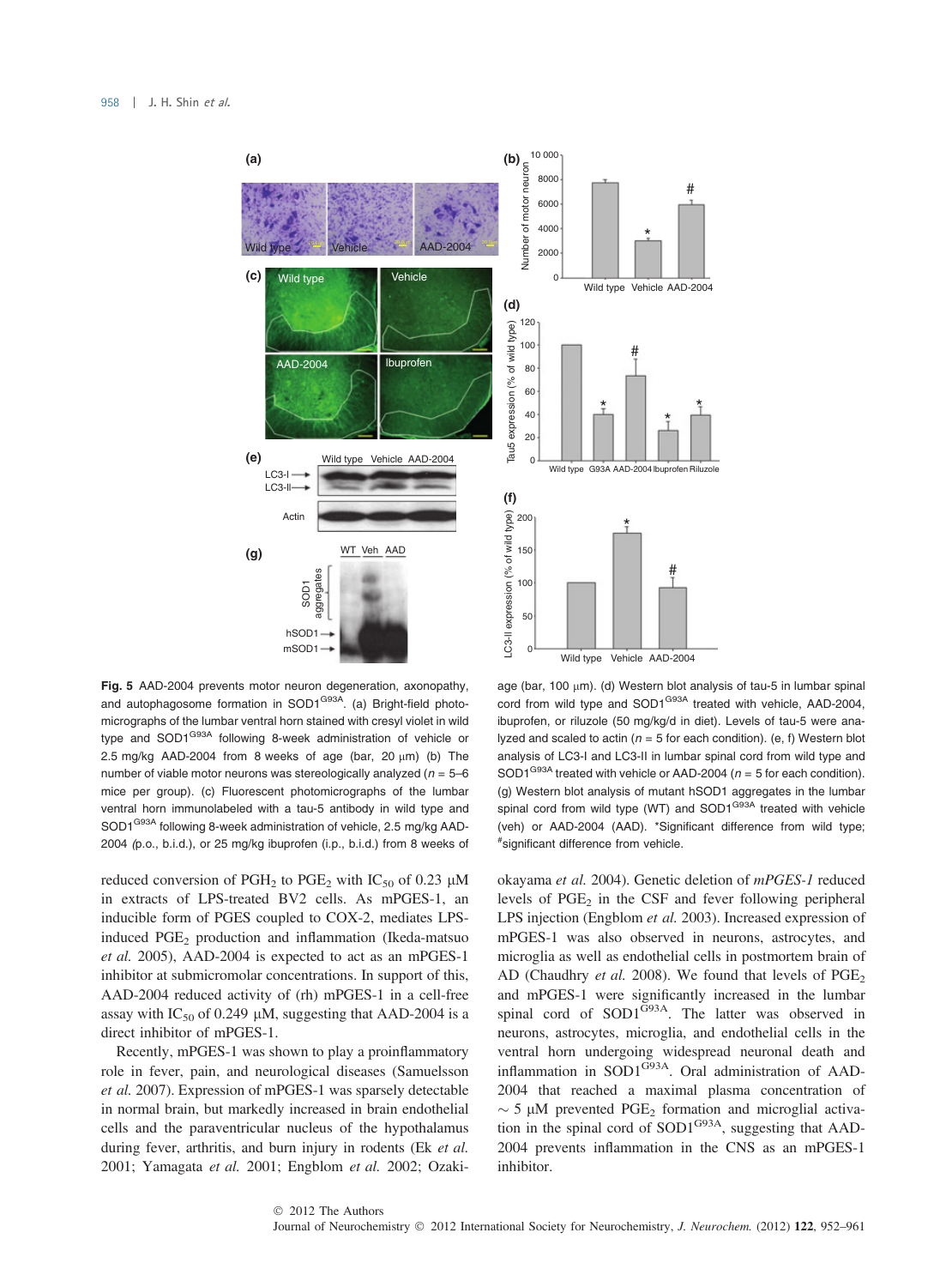

Fig. 5 AAD-2004 prevents motor neuron degeneration, axonopathy, and autophagosome formation in SOD1<sup>G93A</sup>. (a) Bright-field photomicrographs of the lumbar ventral horn stained with cresyl violet in wild type and SOD1<sup>G93A</sup> following 8-week administration of vehicle or 2.5 mg/kg AAD-2004 from 8 weeks of age (bar, 20  $\mu$ m) (b) The number of viable motor neurons was stereologically analyzed ( $n = 5-6$ ) mice per group). (c) Fluorescent photomicrographs of the lumbar ventral horn immunolabeled with a tau-5 antibody in wild type and SOD1<sup>G93A</sup> following 8-week administration of vehicle, 2.5 mg/kg AAD-2004 (p.o., b.i.d.), or 25 mg/kg ibuprofen (i.p., b.i.d.) from 8 weeks of

reduced conversion of PGH<sub>2</sub> to PGE<sub>2</sub> with IC<sub>50</sub> of 0.23  $\mu$ M in extracts of LPS-treated BV2 cells. As mPGES-1, an inducible form of PGES coupled to COX-2, mediates LPSinduced PGE<sub>2</sub> production and inflammation (Ikeda-matsuo et al. 2005), AAD-2004 is expected to act as an mPGES-1 inhibitor at submicromolar concentrations. In support of this, AAD-2004 reduced activity of (rh) mPGES-1 in a cell-free assay with IC<sub>50</sub> of 0.249  $\mu$ M, suggesting that AAD-2004 is a direct inhibitor of mPGES-1.

Recently, mPGES-1 was shown to play a proinflammatory role in fever, pain, and neurological diseases (Samuelsson et al. 2007). Expression of mPGES-1 was sparsely detectable in normal brain, but markedly increased in brain endothelial cells and the paraventricular nucleus of the hypothalamus during fever, arthritis, and burn injury in rodents (Ek et al. 2001; Yamagata et al. 2001; Engblom et al. 2002; Ozaki-

age (bar, 100  $\mu$ m). (d) Western blot analysis of tau-5 in lumbar spinal cord from wild type and SOD1<sup>G93A</sup> treated with vehicle, AAD-2004, ibuprofen, or riluzole (50 mg/kg/d in diet). Levels of tau-5 were analyzed and scaled to actin ( $n = 5$  for each condition). (e, f) Western blot analysis of LC3-I and LC3-II in lumbar spinal cord from wild type and SOD1<sup>G93A</sup> treated with vehicle or AAD-2004 ( $n = 5$  for each condition). (g) Western blot analysis of mutant hSOD1 aggregates in the lumbar spinal cord from wild type (WT) and SOD1<sup>G93A</sup> treated with vehicle (veh) or AAD-2004 (AAD). \*Significant difference from wild type; # significant difference from vehicle.

okayama et al. 2004). Genetic deletion of mPGES-1 reduced levels of  $PGE_2$  in the CSF and fever following peripheral LPS injection (Engblom et al. 2003). Increased expression of mPGES-1 was also observed in neurons, astrocytes, and microglia as well as endothelial cells in postmortem brain of AD (Chaudhry et al. 2008). We found that levels of  $PGE_2$ and mPGES-1 were significantly increased in the lumbar spinal cord of SOD1<sup>G93A</sup>. The latter was observed in neurons, astrocytes, microglia, and endothelial cells in the ventral horn undergoing widespread neuronal death and inflammation in SOD1G93A. Oral administration of AAD-2004 that reached a maximal plasma concentration of  $\sim$  5 µM prevented PGE<sub>2</sub> formation and microglial activation in the spinal cord of SOD1<sup>G93A</sup>, suggesting that AAD-2004 prevents inflammation in the CNS as an mPGES-1 inhibitor.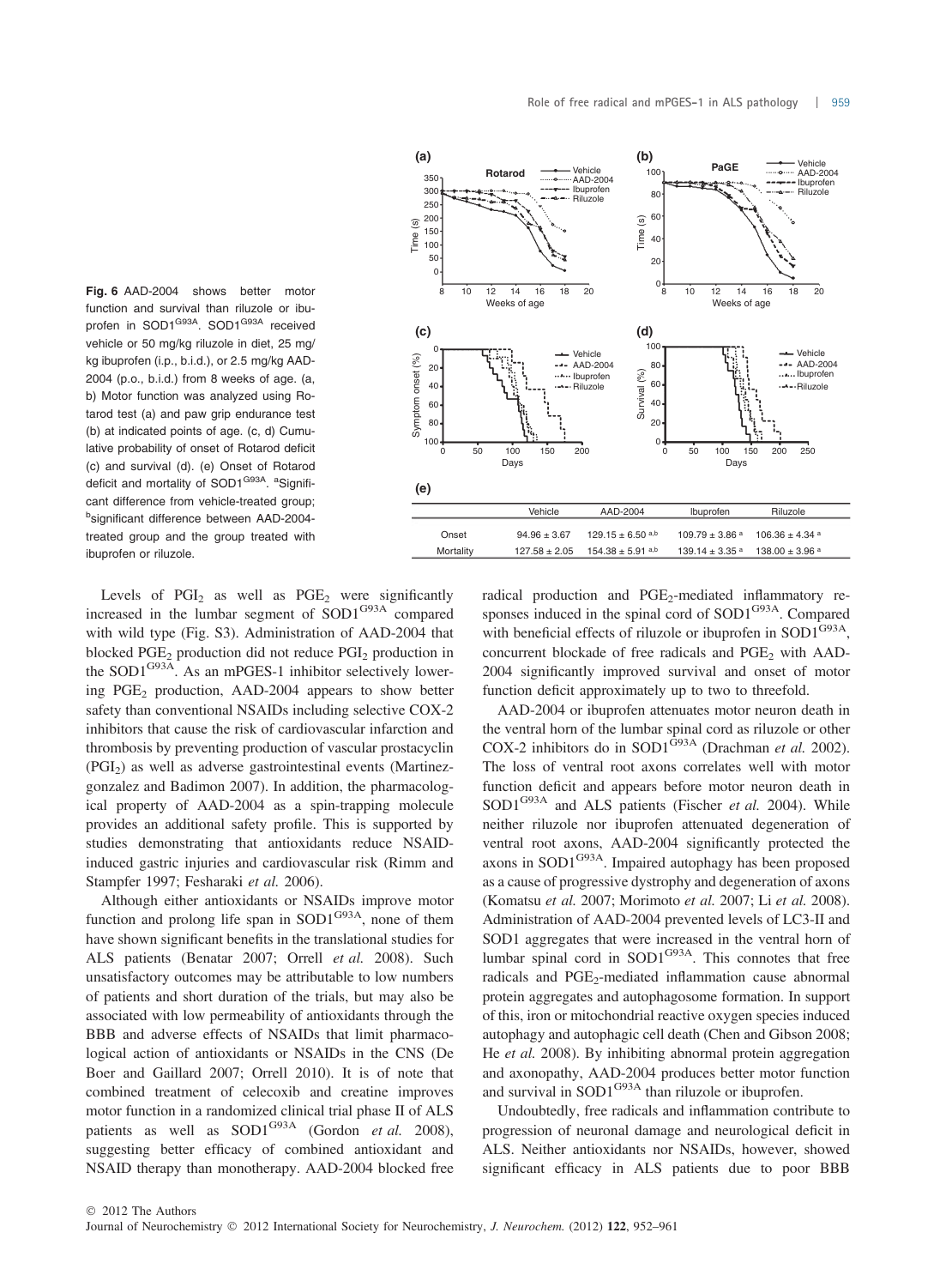

Fig. 6 AAD-2004 shows better motor function and survival than riluzole or ibuprofen in SOD1<sup>G93A</sup>. SOD1<sup>G93A</sup> received vehicle or 50 mg/kg riluzole in diet, 25 mg/ kg ibuprofen (i.p., b.i.d.), or 2.5 mg/kg AAD-2004 (p.o., b.i.d.) from 8 weeks of age. (a, b) Motor function was analyzed using Rotarod test (a) and paw grip endurance test (b) at indicated points of age. (c, d) Cumulative probability of onset of Rotarod deficit (c) and survival (d). (e) Onset of Rotarod deficit and mortality of SOD1<sup>G93A</sup>. <sup>a</sup>Significant difference from vehicle-treated group; b significant difference between AAD-2004 treated group and the group treated with ibuprofen or riluzole.

Levels of  $PGI<sub>2</sub>$  as well as  $PGE<sub>2</sub>$  were significantly increased in the lumbar segment of SOD1G93A compared with wild type (Fig. S3). Administration of AAD-2004 that blocked PGE<sub>2</sub> production did not reduce PGI<sub>2</sub> production in the SOD1<sup>G93A</sup>. As an mPGES-1 inhibitor selectively lowering  $PGE_2$  production, AAD-2004 appears to show better safety than conventional NSAIDs including selective COX-2 inhibitors that cause the risk of cardiovascular infarction and thrombosis by preventing production of vascular prostacyclin  $(PGI<sub>2</sub>)$  as well as adverse gastrointestinal events (Martinezgonzalez and Badimon 2007). In addition, the pharmacological property of AAD-2004 as a spin-trapping molecule provides an additional safety profile. This is supported by studies demonstrating that antioxidants reduce NSAIDinduced gastric injuries and cardiovascular risk (Rimm and Stampfer 1997; Fesharaki et al. 2006).

Although either antioxidants or NSAIDs improve motor function and prolong life span in  $SOD1^{G93A}$ , none of them have shown significant benefits in the translational studies for ALS patients (Benatar 2007; Orrell et al. 2008). Such unsatisfactory outcomes may be attributable to low numbers of patients and short duration of the trials, but may also be associated with low permeability of antioxidants through the BBB and adverse effects of NSAIDs that limit pharmacological action of antioxidants or NSAIDs in the CNS (De Boer and Gaillard 2007; Orrell 2010). It is of note that combined treatment of celecoxib and creatine improves motor function in a randomized clinical trial phase II of ALS patients as well as  $SOD1^{G93A}$  (Gordon *et al.* 2008), suggesting better efficacy of combined antioxidant and NSAID therapy than monotherapy. AAD-2004 blocked free

radical production and PGE<sub>2</sub>-mediated inflammatory responses induced in the spinal cord of SOD1<sup>G93A</sup>. Compared with beneficial effects of riluzole or ibuprofen in  $SOD1^{G93A}$ , concurrent blockade of free radicals and PGE<sub>2</sub> with AAD-2004 significantly improved survival and onset of motor function deficit approximately up to two to threefold.

AAD-2004 or ibuprofen attenuates motor neuron death in the ventral horn of the lumbar spinal cord as riluzole or other COX-2 inhibitors do in SOD1 $\overline{G}^{93A}$  (Drachman et al. 2002). The loss of ventral root axons correlates well with motor function deficit and appears before motor neuron death in  $SOD1^{G93A}$  and ALS patients (Fischer et al. 2004). While neither riluzole nor ibuprofen attenuated degeneration of ventral root axons, AAD-2004 significantly protected the axons in SOD1G93A. Impaired autophagy has been proposed as a cause of progressive dystrophy and degeneration of axons (Komatsu et al. 2007; Morimoto et al. 2007; Li et al. 2008). Administration of AAD-2004 prevented levels of LC3-II and SOD1 aggregates that were increased in the ventral horn of lumbar spinal cord in  $SOD1^{G93A}$ . This connotes that free radicals and PGE<sub>2</sub>-mediated inflammation cause abnormal protein aggregates and autophagosome formation. In support of this, iron or mitochondrial reactive oxygen species induced autophagy and autophagic cell death (Chen and Gibson 2008; He et al. 2008). By inhibiting abnormal protein aggregation and axonopathy, AAD-2004 produces better motor function and survival in SOD1<sup>G93A</sup> than riluzole or ibuprofen.

Undoubtedly, free radicals and inflammation contribute to progression of neuronal damage and neurological deficit in ALS. Neither antioxidants nor NSAIDs, however, showed significant efficacy in ALS patients due to poor BBB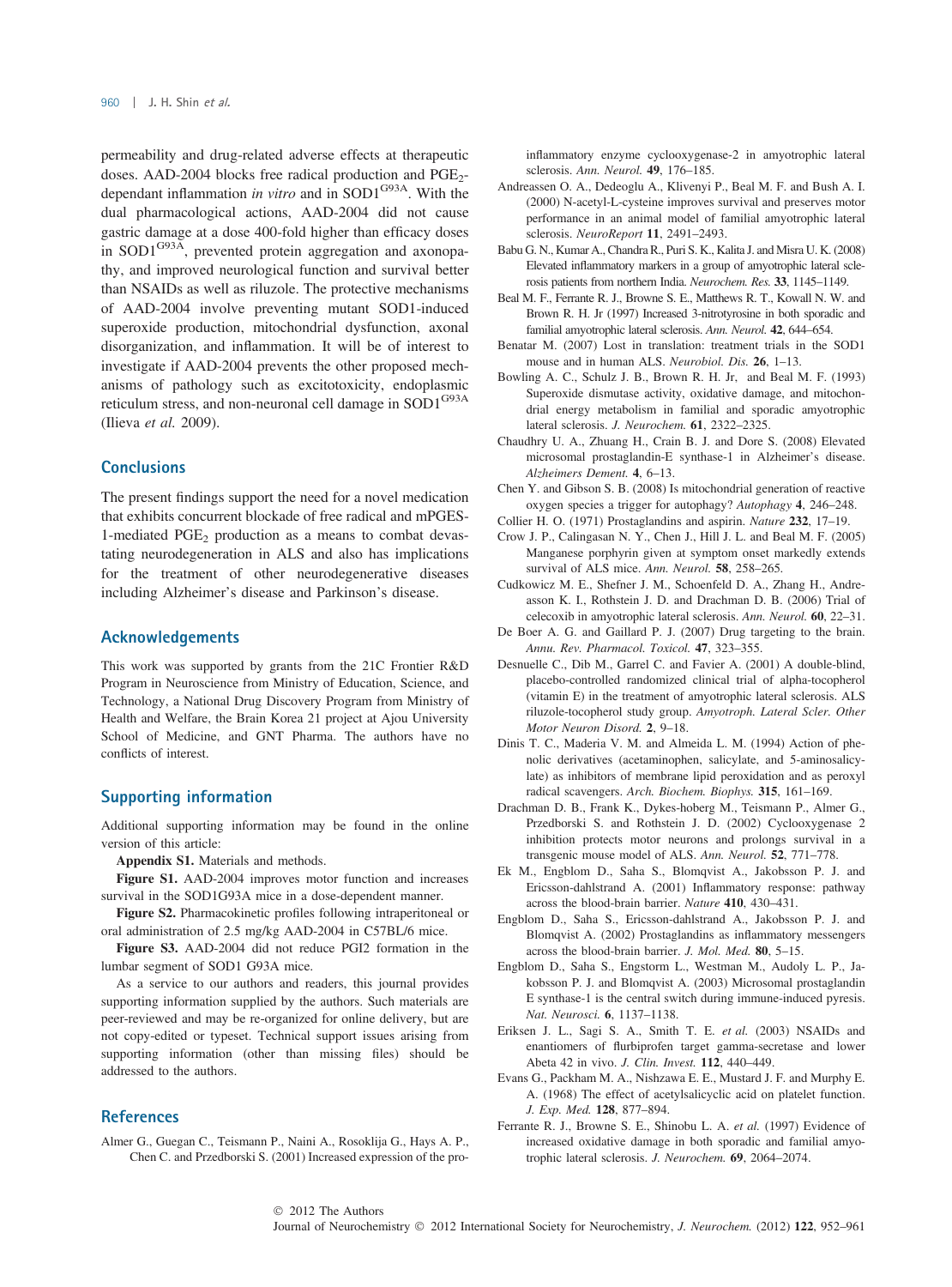permeability and drug-related adverse effects at therapeutic doses. AAD-2004 blocks free radical production and PGE<sub>2</sub>dependant inflammation in vitro and in SOD1<sup>G93A</sup>. With the dual pharmacological actions, AAD-2004 did not cause gastric damage at a dose 400-fold higher than efficacy doses in  $SOD1^{G93A}$ , prevented protein aggregation and axonopathy, and improved neurological function and survival better than NSAIDs as well as riluzole. The protective mechanisms of AAD-2004 involve preventing mutant SOD1-induced superoxide production, mitochondrial dysfunction, axonal disorganization, and inflammation. It will be of interest to investigate if AAD-2004 prevents the other proposed mechanisms of pathology such as excitotoxicity, endoplasmic reticulum stress, and non-neuronal cell damage in SOD1<sup>G93A</sup> (Ilieva et al. 2009).

# **Conclusions**

The present findings support the need for a novel medication that exhibits concurrent blockade of free radical and mPGES-1-mediated PGE<sub>2</sub> production as a means to combat devastating neurodegeneration in ALS and also has implications for the treatment of other neurodegenerative diseases including Alzheimer's disease and Parkinson's disease.

#### Acknowledgements

This work was supported by grants from the 21C Frontier R&D Program in Neuroscience from Ministry of Education, Science, and Technology, a National Drug Discovery Program from Ministry of Health and Welfare, the Brain Korea 21 project at Ajou University School of Medicine, and GNT Pharma. The authors have no conflicts of interest.

#### Supporting information

Additional supporting information may be found in the online version of this article:

Appendix S1. Materials and methods.

Figure S1. AAD-2004 improves motor function and increases survival in the SOD1G93A mice in a dose-dependent manner.

Figure S2. Pharmacokinetic profiles following intraperitoneal or oral administration of 2.5 mg/kg AAD-2004 in C57BL/6 mice.

Figure S3. AAD-2004 did not reduce PGI2 formation in the lumbar segment of SOD1 G93A mice.

As a service to our authors and readers, this journal provides supporting information supplied by the authors. Such materials are peer-reviewed and may be re-organized for online delivery, but are not copy-edited or typeset. Technical support issues arising from supporting information (other than missing files) should be addressed to the authors.

## **References**

Almer G., Guegan C., Teismann P., Naini A., Rosoklija G., Hays A. P., Chen C. and Przedborski S. (2001) Increased expression of the proinflammatory enzyme cyclooxygenase-2 in amyotrophic lateral sclerosis. Ann. Neurol. 49, 176–185.

- Andreassen O. A., Dedeoglu A., Klivenyi P., Beal M. F. and Bush A. I. (2000) N-acetyl-L-cysteine improves survival and preserves motor performance in an animal model of familial amyotrophic lateral sclerosis. NeuroReport 11, 2491–2493.
- Babu G. N., Kumar A., Chandra R., Puri S. K., Kalita J. and Misra U. K. (2008) Elevated inflammatory markers in a group of amyotrophic lateral sclerosis patients from northern India. Neurochem. Res. 33, 1145–1149.
- Beal M. F., Ferrante R. J., Browne S. E., Matthews R. T., Kowall N. W. and Brown R. H. Jr (1997) Increased 3-nitrotyrosine in both sporadic and familial amyotrophic lateral sclerosis. Ann. Neurol. 42, 644–654.
- Benatar M. (2007) Lost in translation: treatment trials in the SOD1 mouse and in human ALS. Neurobiol. Dis. 26, 1–13.
- Bowling A. C., Schulz J. B., Brown R. H. Jr, and Beal M. F. (1993) Superoxide dismutase activity, oxidative damage, and mitochondrial energy metabolism in familial and sporadic amyotrophic lateral sclerosis. J. Neurochem. 61, 2322–2325.
- Chaudhry U. A., Zhuang H., Crain B. J. and Dore S. (2008) Elevated microsomal prostaglandin-E synthase-1 in Alzheimer's disease. Alzheimers Dement. 4, 6–13.
- Chen Y. and Gibson S. B. (2008) Is mitochondrial generation of reactive oxygen species a trigger for autophagy? Autophagy 4, 246–248.
- Collier H. O. (1971) Prostaglandins and aspirin. Nature 232, 17–19.
- Crow J. P., Calingasan N. Y., Chen J., Hill J. L. and Beal M. F. (2005) Manganese porphyrin given at symptom onset markedly extends survival of ALS mice. Ann. Neurol. 58, 258–265.
- Cudkowicz M. E., Shefner J. M., Schoenfeld D. A., Zhang H., Andreasson K. I., Rothstein J. D. and Drachman D. B. (2006) Trial of celecoxib in amyotrophic lateral sclerosis. Ann. Neurol. 60, 22–31.
- De Boer A. G. and Gaillard P. J. (2007) Drug targeting to the brain. Annu. Rev. Pharmacol. Toxicol. 47, 323–355.
- Desnuelle C., Dib M., Garrel C. and Favier A. (2001) A double-blind, placebo-controlled randomized clinical trial of alpha-tocopherol (vitamin E) in the treatment of amyotrophic lateral sclerosis. ALS riluzole-tocopherol study group. Amyotroph. Lateral Scler. Other Motor Neuron Disord. 2, 9–18.
- Dinis T. C., Maderia V. M. and Almeida L. M. (1994) Action of phenolic derivatives (acetaminophen, salicylate, and 5-aminosalicylate) as inhibitors of membrane lipid peroxidation and as peroxyl radical scavengers. Arch. Biochem. Biophys. 315, 161–169.
- Drachman D. B., Frank K., Dykes-hoberg M., Teismann P., Almer G., Przedborski S. and Rothstein J. D. (2002) Cyclooxygenase 2 inhibition protects motor neurons and prolongs survival in a transgenic mouse model of ALS. Ann. Neurol. 52, 771–778.
- Ek M., Engblom D., Saha S., Blomqvist A., Jakobsson P. J. and Ericsson-dahlstrand A. (2001) Inflammatory response: pathway across the blood-brain barrier. Nature 410, 430–431.
- Engblom D., Saha S., Ericsson-dahlstrand A., Jakobsson P. J. and Blomqvist A. (2002) Prostaglandins as inflammatory messengers across the blood-brain barrier. J. Mol. Med. 80, 5–15.
- Engblom D., Saha S., Engstorm L., Westman M., Audoly L. P., Jakobsson P. J. and Blomqvist A. (2003) Microsomal prostaglandin E synthase-1 is the central switch during immune-induced pyresis. Nat. Neurosci. 6, 1137–1138.
- Eriksen J. L., Sagi S. A., Smith T. E. et al. (2003) NSAIDs and enantiomers of flurbiprofen target gamma-secretase and lower Abeta 42 in vivo. J. Clin. Invest. 112, 440–449.
- Evans G., Packham M. A., Nishzawa E. E., Mustard J. F. and Murphy E. A. (1968) The effect of acetylsalicyclic acid on platelet function. J. Exp. Med. 128, 877–894.
- Ferrante R. J., Browne S. E., Shinobu L. A. et al. (1997) Evidence of increased oxidative damage in both sporadic and familial amyotrophic lateral sclerosis. J. Neurochem. 69, 2064–2074.